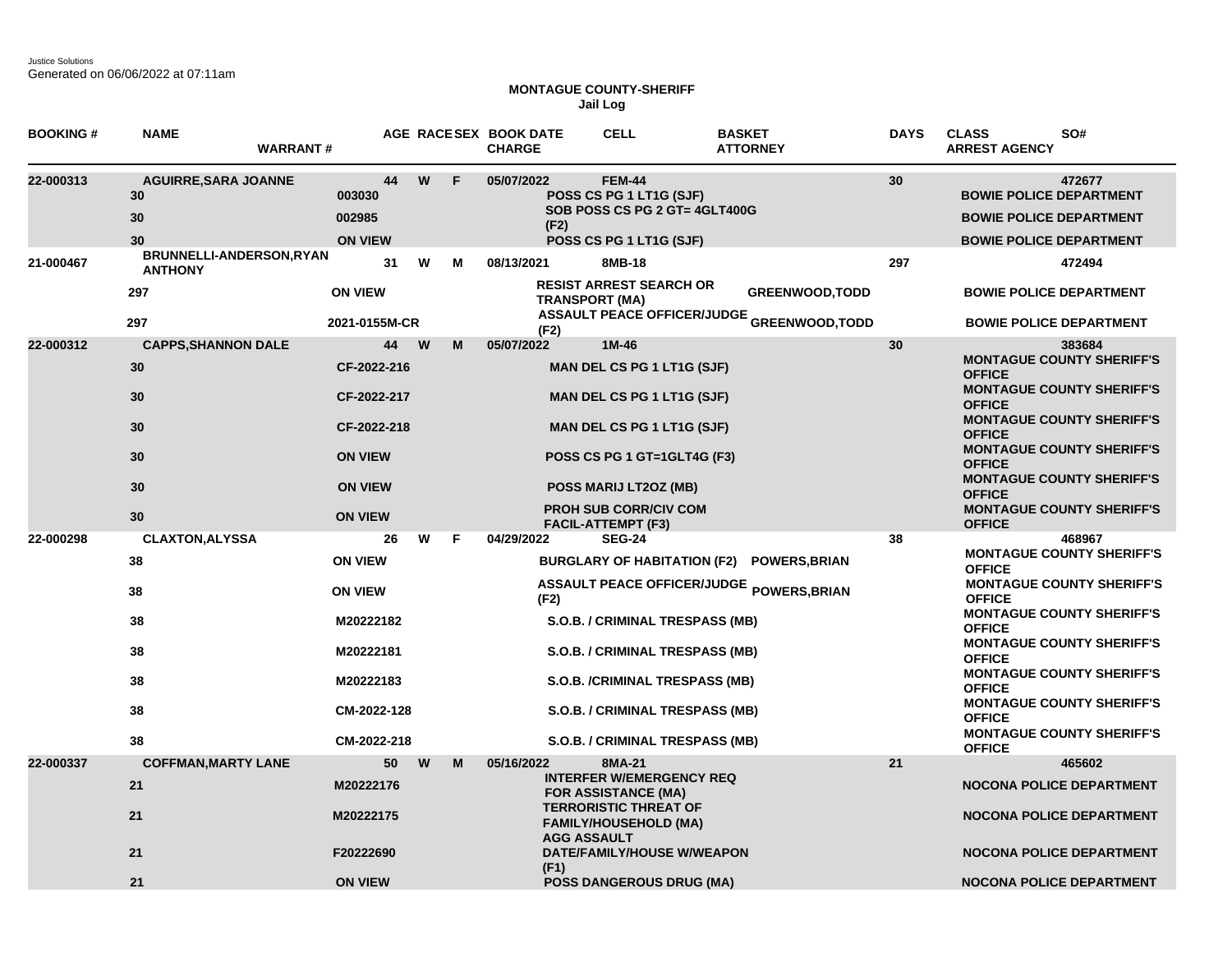Justice Solutions Generated on 06/06/2022 at 07:11am

## **MONTAGUE COUNTY-SHERIFF Jail Log**

| <b>BOOKING#</b> | <b>NAME</b><br><b>WARRANT#</b>                           |                                                                                                       |    |         | AGE RACESEX BOOK DATE<br><b>CHARGE</b> | <b>CELL</b>                                                                                                                                                                                                                    | <b>BASKET</b><br><b>ATTORNEY</b>                                            | <b>DAYS</b> | <b>CLASS</b><br>SO#<br><b>ARREST AGENCY</b>                                                                                                                                                                                                                                                                                                                                     |
|-----------------|----------------------------------------------------------|-------------------------------------------------------------------------------------------------------|----|---------|----------------------------------------|--------------------------------------------------------------------------------------------------------------------------------------------------------------------------------------------------------------------------------|-----------------------------------------------------------------------------|-------------|---------------------------------------------------------------------------------------------------------------------------------------------------------------------------------------------------------------------------------------------------------------------------------------------------------------------------------------------------------------------------------|
| 22-000313       | <b>AGUIRRE, SARA JOANNE</b><br>30<br>30<br>30            | 003030<br>002985<br><b>ON VIEW</b>                                                                    | 44 | W<br>F  | 05/07/2022<br>(F2)                     | <b>FEM-44</b><br>POSS CS PG 1 LT1G (SJF)<br>SOB POSS CS PG 2 GT= 4GLT400G<br>POSS CS PG 1 LT1G (SJF)                                                                                                                           |                                                                             | 30          | 472677<br><b>BOWIE POLICE DEPARTMENT</b><br><b>BOWIE POLICE DEPARTMENT</b><br><b>BOWIE POLICE DEPARTMENT</b>                                                                                                                                                                                                                                                                    |
| 21-000467       | BRUNNELLI-ANDERSON, RYAN<br><b>ANTHONY</b>               |                                                                                                       | 31 | W<br>м  | 08/13/2021                             | 8MB-18                                                                                                                                                                                                                         |                                                                             | 297         | 472494                                                                                                                                                                                                                                                                                                                                                                          |
|                 | 297<br>297                                               | <b>ON VIEW</b><br>2021-0155M-CR                                                                       |    |         |                                        | <b>RESIST ARREST SEARCH OR</b><br><b>TRANSPORT (MA)</b>                                                                                                                                                                        | <b>GREENWOOD, TODD</b><br><b>ASSAULT PEACE OFFICER/JUDGE GREENWOOD,TODD</b> |             | <b>BOWIE POLICE DEPARTMENT</b><br><b>BOWIE POLICE DEPARTMENT</b>                                                                                                                                                                                                                                                                                                                |
| 22-000312       | <b>CAPPS, SHANNON DALE</b><br>30<br>30<br>30<br>30<br>30 | CF-2022-216<br>CF-2022-217<br>CF-2022-218<br><b>ON VIEW</b><br><b>ON VIEW</b>                         | 44 | W<br>М  | (F2)<br>05/07/2022                     | $1M-46$<br><b>MAN DEL CS PG 1 LT1G (SJF)</b><br><b>MAN DEL CS PG 1 LT1G (SJF)</b><br><b>MAN DEL CS PG 1 LT1G (SJF)</b><br>POSS CS PG 1 GT=1GLT4G (F3)<br><b>POSS MARIJ LT2OZ (MB)</b>                                          |                                                                             | 30          | 383684<br><b>MONTAGUE COUNTY SHERIFF'S</b><br><b>OFFICE</b><br><b>MONTAGUE COUNTY SHERIFF'S</b><br><b>OFFICE</b><br><b>MONTAGUE COUNTY SHERIFF'S</b><br><b>OFFICE</b><br><b>MONTAGUE COUNTY SHERIFF'S</b><br><b>OFFICE</b><br><b>MONTAGUE COUNTY SHERIFF'S</b><br><b>OFFICE</b>                                                                                                 |
| 22-000298       | 30<br><b>CLAXTON, ALYSSA</b>                             | <b>ON VIEW</b>                                                                                        | 26 | W<br>F. | 04/29/2022                             | <b>PROH SUB CORR/CIV COM</b><br><b>FACIL-ATTEMPT (F3)</b><br><b>SEG-24</b>                                                                                                                                                     |                                                                             | 38          | <b>MONTAGUE COUNTY SHERIFF'S</b><br><b>OFFICE</b><br>468967                                                                                                                                                                                                                                                                                                                     |
|                 | 38<br>38<br>38<br>38<br>38<br>38<br>38                   | <b>ON VIEW</b><br><b>ON VIEW</b><br>M20222182<br>M20222181<br>M20222183<br>CM-2022-128<br>CM-2022-218 |    |         | (F2)                                   | <b>BURGLARY OF HABITATION (F2)</b><br>S.O.B. / CRIMINAL TRESPASS (MB)<br>S.O.B. / CRIMINAL TRESPASS (MB)<br>S.O.B. /CRIMINAL TRESPASS (MB)<br>S.O.B. / CRIMINAL TRESPASS (MB)<br>S.O.B. / CRIMINAL TRESPASS (MB)               | <b>POWERS, BRIAN</b><br>ASSAULT PEACE OFFICER/JUDGE POWERS, BRIAN           |             | <b>MONTAGUE COUNTY SHERIFF'S</b><br><b>OFFICE</b><br><b>MONTAGUE COUNTY SHERIFF'S</b><br><b>OFFICE</b><br><b>MONTAGUE COUNTY SHERIFF'S</b><br><b>OFFICE</b><br><b>MONTAGUE COUNTY SHERIFF'S</b><br><b>OFFICE</b><br><b>MONTAGUE COUNTY SHERIFF'S</b><br><b>OFFICE</b><br><b>MONTAGUE COUNTY SHERIFF'S</b><br><b>OFFICE</b><br><b>MONTAGUE COUNTY SHERIFF'S</b><br><b>OFFICE</b> |
| 22-000337       | <b>COFFMAN, MARTY LANE</b><br>21<br>21<br>21<br>21       | M20222176<br>M20222175<br>F20222690<br><b>ON VIEW</b>                                                 | 50 | W<br>M  | 05/16/2022<br>(F1)                     | 8MA-21<br><b>INTERFER W/EMERGENCY REQ</b><br><b>FOR ASSISTANCE (MA)</b><br><b>TERRORISTIC THREAT OF</b><br><b>FAMILY/HOUSEHOLD (MA)</b><br><b>AGG ASSAULT</b><br>DATE/FAMILY/HOUSE W/WEAPON<br><b>POSS DANGEROUS DRUG (MA)</b> |                                                                             | 21          | 465602<br><b>NOCONA POLICE DEPARTMENT</b><br><b>NOCONA POLICE DEPARTMENT</b><br><b>NOCONA POLICE DEPARTMENT</b><br><b>NOCONA POLICE DEPARTMENT</b>                                                                                                                                                                                                                              |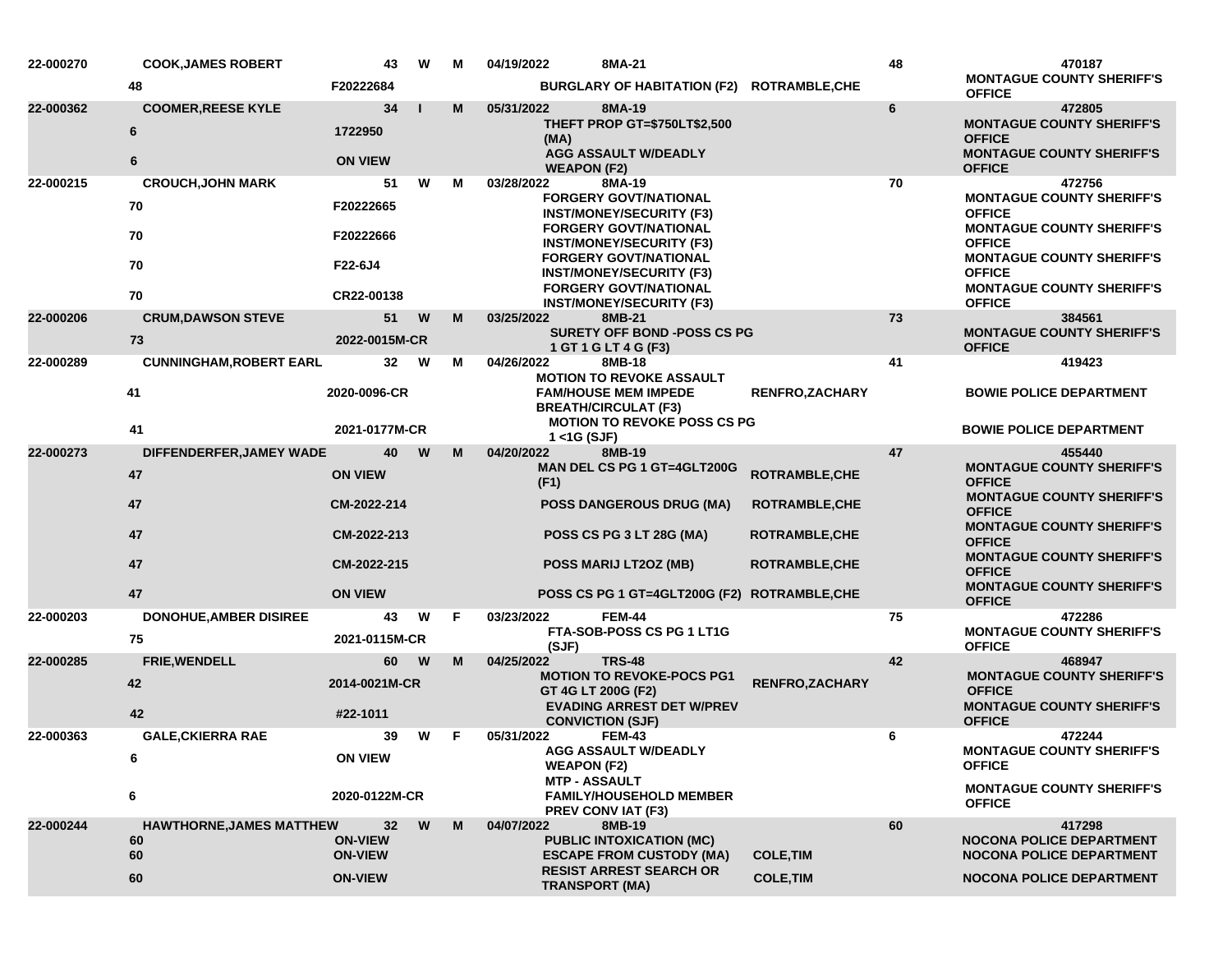| 22-000270 | <b>COOK, JAMES ROBERT</b>           | 43                               | W | M | 04/19/2022<br>8MA-21                                                                            |                                    |                                              | 48 | 470187                                                                                                           |
|-----------|-------------------------------------|----------------------------------|---|---|-------------------------------------------------------------------------------------------------|------------------------------------|----------------------------------------------|----|------------------------------------------------------------------------------------------------------------------|
|           | 48                                  | F20222684                        |   |   |                                                                                                 |                                    | BURGLARY OF HABITATION (F2) ROTRAMBLE, CHE   |    | <b>MONTAGUE COUNTY SHERIFF'S</b><br><b>OFFICE</b>                                                                |
| 22-000362 | <b>COOMER, REESE KYLE</b><br>6<br>6 | 34<br>1722950<br><b>ON VIEW</b>  |   | M | 05/31/2022<br>8MA-19<br>(MA)<br><b>AGG ASSAULT W/DEADLY</b><br><b>WEAPON (F2)</b>               | THEFT PROP GT=\$750LT\$2,500       |                                              | 6  | 472805<br><b>MONTAGUE COUNTY SHERIFF'S</b><br><b>OFFICE</b><br><b>MONTAGUE COUNTY SHERIFF'S</b><br><b>OFFICE</b> |
| 22-000215 | <b>CROUCH, JOHN MARK</b>            | 51                               | W | М | 03/28/2022<br>8MA-19                                                                            |                                    |                                              | 70 | 472756                                                                                                           |
|           | 70                                  | F20222665                        |   |   | <b>FORGERY GOVT/NATIONAL</b><br><b>INST/MONEY/SECURITY (F3)</b><br><b>FORGERY GOVT/NATIONAL</b> |                                    |                                              |    | <b>MONTAGUE COUNTY SHERIFF'S</b><br><b>OFFICE</b><br><b>MONTAGUE COUNTY SHERIFF'S</b>                            |
|           | 70                                  | F20222666                        |   |   | <b>INST/MONEY/SECURITY (F3)</b><br><b>FORGERY GOVT/NATIONAL</b>                                 |                                    |                                              |    | <b>OFFICE</b><br><b>MONTAGUE COUNTY SHERIFF'S</b>                                                                |
|           | 70                                  | F22-6J4                          |   |   | <b>INST/MONEY/SECURITY (F3)</b><br><b>FORGERY GOVT/NATIONAL</b>                                 |                                    |                                              |    | <b>OFFICE</b><br><b>MONTAGUE COUNTY SHERIFF'S</b>                                                                |
|           | 70                                  | CR22-00138                       |   |   | <b>INST/MONEY/SECURITY (F3)</b>                                                                 |                                    |                                              |    | <b>OFFICE</b>                                                                                                    |
| 22-000206 | <b>CRUM, DAWSON STEVE</b><br>73     | 51<br>2022-0015M-CR              | W | M | 8MB-21<br>03/25/2022<br>1 GT 1 G LT 4 G (F3)                                                    | <b>SURETY OFF BOND -POSS CS PG</b> |                                              | 73 | 384561<br><b>MONTAGUE COUNTY SHERIFF'S</b><br><b>OFFICE</b>                                                      |
| 22-000289 | <b>CUNNINGHAM, ROBERT EARL</b>      | 32                               | W | M | 04/26/2022<br>8MB-18                                                                            |                                    |                                              | 41 | 419423                                                                                                           |
|           | 41                                  | 2020-0096-CR                     |   |   | <b>MOTION TO REVOKE ASSAULT</b><br><b>FAM/HOUSE MEM IMPEDE</b><br><b>BREATH/CIRCULAT (F3)</b>   |                                    | <b>RENFRO,ZACHARY</b>                        |    | <b>BOWIE POLICE DEPARTMENT</b>                                                                                   |
|           | 41                                  | 2021-0177M-CR                    |   |   | $1 <$ 1G (SJF)                                                                                  | <b>MOTION TO REVOKE POSS CS PG</b> |                                              |    | <b>BOWIE POLICE DEPARTMENT</b>                                                                                   |
| 22-000273 | DIFFENDERFER, JAMEY WADE            | 40                               | W | M | 04/20/2022<br>8MB-19                                                                            |                                    |                                              | 47 | 455440                                                                                                           |
|           | 47                                  | <b>ON VIEW</b>                   |   |   | (F1)                                                                                            | MAN DEL CS PG 1 GT=4GLT200G        | <b>ROTRAMBLE, CHE</b>                        |    | <b>MONTAGUE COUNTY SHERIFF'S</b><br><b>OFFICE</b>                                                                |
|           | 47                                  | CM-2022-214                      |   |   |                                                                                                 | <b>POSS DANGEROUS DRUG (MA)</b>    | <b>ROTRAMBLE, CHE</b>                        |    | <b>MONTAGUE COUNTY SHERIFF'S</b><br><b>OFFICE</b>                                                                |
|           | 47                                  | CM-2022-213                      |   |   | POSS CS PG 3 LT 28G (MA)                                                                        |                                    | <b>ROTRAMBLE, CHE</b>                        |    | <b>MONTAGUE COUNTY SHERIFF'S</b><br><b>OFFICE</b><br><b>MONTAGUE COUNTY SHERIFF'S</b>                            |
|           | 47                                  | CM-2022-215                      |   |   | POSS MARIJ LT2OZ (MB)                                                                           |                                    | <b>ROTRAMBLE, CHE</b>                        |    | <b>OFFICE</b><br><b>MONTAGUE COUNTY SHERIFF'S</b>                                                                |
|           | 47                                  | <b>ON VIEW</b>                   |   |   |                                                                                                 |                                    | POSS CS PG 1 GT=4GLT200G (F2) ROTRAMBLE, CHE |    | <b>OFFICE</b>                                                                                                    |
| 22-000203 | <b>DONOHUE, AMBER DISIREE</b><br>75 | 43<br>2021-0115M-CR              | W | F | 03/23/2022<br><b>FEM-44</b>                                                                     | FTA-SOB-POSS CS PG 1 LT1G          |                                              | 75 | 472286<br><b>MONTAGUE COUNTY SHERIFF'S</b>                                                                       |
| 22-000285 | <b>FRIE, WENDELL</b>                | 60                               | W | M | (SJF)<br>04/25/2022<br><b>TRS-48</b>                                                            |                                    |                                              | 42 | <b>OFFICE</b><br>468947                                                                                          |
|           | 42                                  | 2014-0021M-CR                    |   |   | GT 4G LT 200G (F2)                                                                              | <b>MOTION TO REVOKE-POCS PG1</b>   | <b>RENFRO, ZACHARY</b>                       |    | <b>MONTAGUE COUNTY SHERIFF'S</b><br><b>OFFICE</b>                                                                |
|           | 42                                  | #22-1011                         |   |   | <b>CONVICTION (SJF)</b>                                                                         | <b>EVADING ARREST DET W/PREV</b>   |                                              |    | <b>MONTAGUE COUNTY SHERIFF'S</b><br><b>OFFICE</b>                                                                |
| 22-000363 | <b>GALE, CKIERRA RAE</b>            | 39                               | W | F | 05/31/2022<br><b>FEM-43</b>                                                                     |                                    |                                              | 6  | 472244                                                                                                           |
|           | 6                                   | <b>ON VIEW</b>                   |   |   | AGG ASSAULT W/DEADLY<br><b>WEAPON (F2)</b>                                                      |                                    |                                              |    | <b>MONTAGUE COUNTY SHERIFF'S</b><br><b>OFFICE</b>                                                                |
|           | 6                                   | 2020-0122M-CR                    |   |   | <b>MTP - ASSAULT</b><br><b>PREV CONVIAT (F3)</b>                                                | <b>FAMILY/HOUSEHOLD MEMBER</b>     |                                              |    | <b>MONTAGUE COUNTY SHERIFF'S</b><br><b>OFFICE</b>                                                                |
| 22-000244 | <b>HAWTHORNE, JAMES MATTHEW</b>     | 32                               | W | M | 04/07/2022<br>8MB-19                                                                            |                                    |                                              | 60 | 417298                                                                                                           |
|           | 60<br>60                            | <b>ON-VIEW</b><br><b>ON-VIEW</b> |   |   | <b>PUBLIC INTOXICATION (MC)</b>                                                                 | <b>ESCAPE FROM CUSTODY (MA)</b>    | <b>COLE, TIM</b>                             |    | <b>NOCONA POLICE DEPARTMENT</b><br><b>NOCONA POLICE DEPARTMENT</b>                                               |
|           | 60                                  | <b>ON-VIEW</b>                   |   |   | <b>RESIST ARREST SEARCH OR</b><br><b>TRANSPORT (MA)</b>                                         |                                    | <b>COLE, TIM</b>                             |    | <b>NOCONA POLICE DEPARTMENT</b>                                                                                  |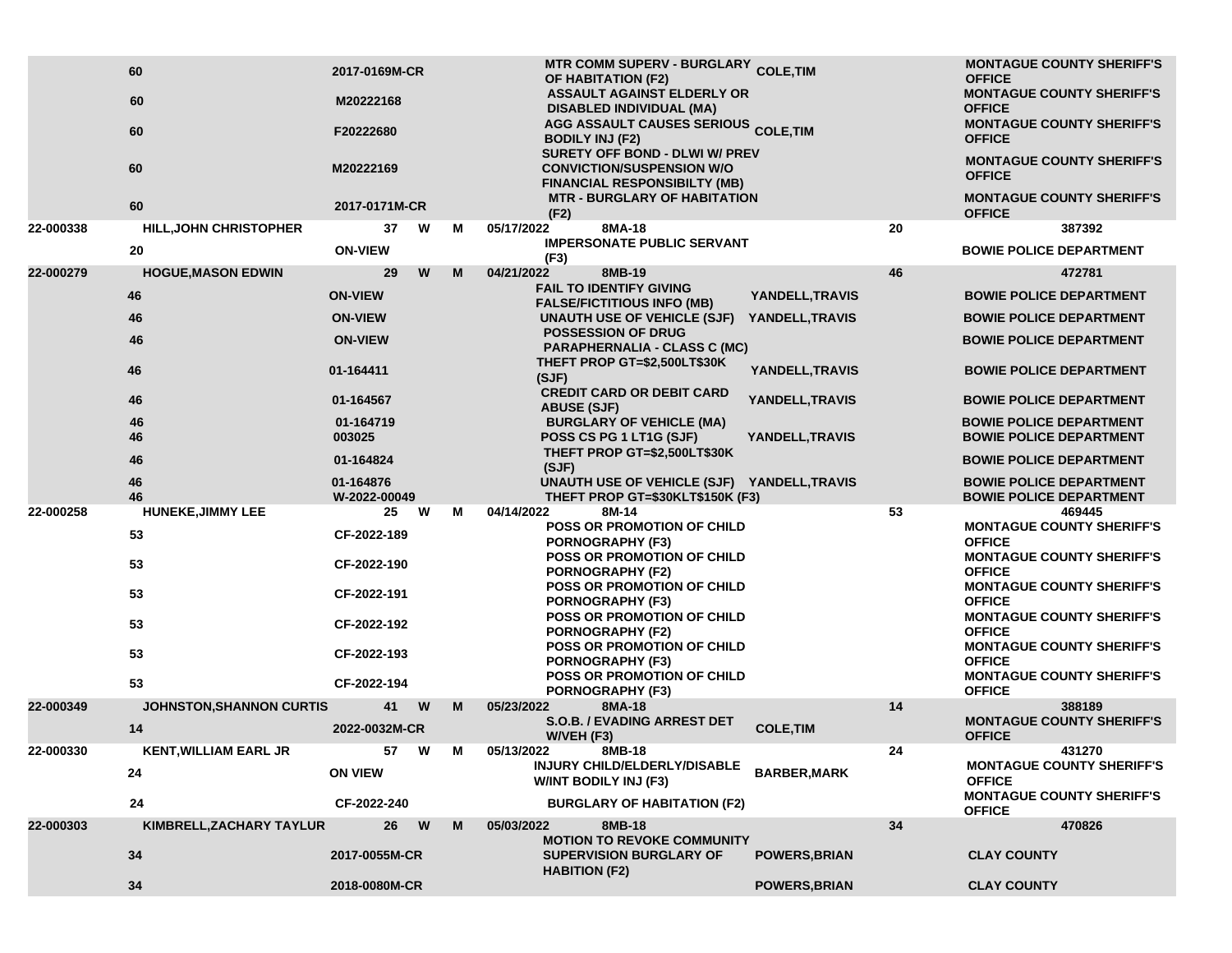|           | 60                              | 2017-0169M-CR             |   |   | MTR COMM SUPERV - BURGLARY COLE, TIM<br>OF HABITATION (F2)                                              |                      |    | <b>MONTAGUE COUNTY SHERIFF'S</b><br><b>OFFICE</b>                |
|-----------|---------------------------------|---------------------------|---|---|---------------------------------------------------------------------------------------------------------|----------------------|----|------------------------------------------------------------------|
|           | 60                              | M20222168                 |   |   | <b>ASSAULT AGAINST ELDERLY OR</b><br><b>DISABLED INDIVIDUAL (MA)</b>                                    |                      |    | <b>MONTAGUE COUNTY SHERIFF'S</b><br><b>OFFICE</b>                |
|           | 60                              | F20222680                 |   |   | <b>AGG ASSAULT CAUSES SERIOUS COLE, TIM</b><br><b>BODILY INJ (F2)</b><br>SURETY OFF BOND - DLWI W/ PREV |                      |    | <b>MONTAGUE COUNTY SHERIFF'S</b><br><b>OFFICE</b>                |
|           | 60                              | M20222169                 |   |   | <b>CONVICTION/SUSPENSION W/O</b><br><b>FINANCIAL RESPONSIBILTY (MB)</b>                                 |                      |    | <b>MONTAGUE COUNTY SHERIFF'S</b><br><b>OFFICE</b>                |
|           | 60                              | 2017-0171M-CR             |   |   | <b>MTR - BURGLARY OF HABITATION</b><br>(F2)                                                             |                      |    | <b>MONTAGUE COUNTY SHERIFF'S</b><br><b>OFFICE</b>                |
| 22-000338 | <b>HILL, JOHN CHRISTOPHER</b>   | 37                        | W | М | 8MA-18<br>05/17/2022                                                                                    |                      | 20 | 387392                                                           |
|           | 20                              | <b>ON-VIEW</b>            |   |   | <b>IMPERSONATE PUBLIC SERVANT</b><br>(F3)                                                               |                      |    | <b>BOWIE POLICE DEPARTMENT</b>                                   |
| 22-000279 | <b>HOGUE, MASON EDWIN</b>       | 29                        | W | M | 04/21/2022<br>8MB-19<br><b>FAIL TO IDENTIFY GIVING</b>                                                  |                      | 46 | 472781                                                           |
|           | 46                              | <b>ON-VIEW</b>            |   |   | <b>FALSE/FICTITIOUS INFO (MB)</b>                                                                       | YANDELL, TRAVIS      |    | <b>BOWIE POLICE DEPARTMENT</b>                                   |
|           | 46                              | <b>ON-VIEW</b>            |   |   | UNAUTH USE OF VEHICLE (SJF)<br><b>POSSESSION OF DRUG</b>                                                | YANDELL, TRAVIS      |    | <b>BOWIE POLICE DEPARTMENT</b>                                   |
|           | 46                              | <b>ON-VIEW</b>            |   |   | <b>PARAPHERNALIA - CLASS C (MC)</b>                                                                     |                      |    | <b>BOWIE POLICE DEPARTMENT</b>                                   |
|           | 46                              | 01-164411                 |   |   | THEFT PROP GT=\$2,500LT\$30K<br>(SJF)                                                                   | YANDELL, TRAVIS      |    | <b>BOWIE POLICE DEPARTMENT</b>                                   |
|           | 46                              | 01-164567                 |   |   | <b>CREDIT CARD OR DEBIT CARD</b><br><b>ABUSE (SJF)</b>                                                  | YANDELL, TRAVIS      |    | <b>BOWIE POLICE DEPARTMENT</b>                                   |
|           | 46<br>46                        | 01-164719<br>003025       |   |   | <b>BURGLARY OF VEHICLE (MA)</b><br>POSS CS PG 1 LT1G (SJF)                                              | YANDELL, TRAVIS      |    | <b>BOWIE POLICE DEPARTMENT</b><br><b>BOWIE POLICE DEPARTMENT</b> |
|           | 46                              | 01-164824                 |   |   | THEFT PROP GT=\$2,500LT\$30K<br>(SJF)                                                                   |                      |    | <b>BOWIE POLICE DEPARTMENT</b>                                   |
|           | 46<br>46                        | 01-164876<br>W-2022-00049 |   |   | UNAUTH USE OF VEHICLE (SJF) YANDELL, TRAVIS<br>THEFT PROP GT=\$30KLT\$150K (F3)                         |                      |    | <b>BOWIE POLICE DEPARTMENT</b><br><b>BOWIE POLICE DEPARTMENT</b> |
| 22-000258 | <b>HUNEKE, JIMMY LEE</b>        | 25                        | W | м | 04/14/2022<br>8M-14                                                                                     |                      | 53 | 469445                                                           |
|           | 53                              | CF-2022-189               |   |   | <b>POSS OR PROMOTION OF CHILD</b><br>PORNOGRAPHY (F3)                                                   |                      |    | <b>MONTAGUE COUNTY SHERIFF'S</b><br><b>OFFICE</b>                |
|           | 53                              | CF-2022-190               |   |   | POSS OR PROMOTION OF CHILD<br><b>PORNOGRAPHY (F2)</b>                                                   |                      |    | <b>MONTAGUE COUNTY SHERIFF'S</b><br><b>OFFICE</b>                |
|           | 53                              | CF-2022-191               |   |   | POSS OR PROMOTION OF CHILD<br><b>PORNOGRAPHY (F3)</b>                                                   |                      |    | <b>MONTAGUE COUNTY SHERIFF'S</b><br><b>OFFICE</b>                |
|           | 53                              | CF-2022-192               |   |   | POSS OR PROMOTION OF CHILD<br><b>PORNOGRAPHY (F2)</b>                                                   |                      |    | <b>MONTAGUE COUNTY SHERIFF'S</b><br><b>OFFICE</b>                |
|           | 53                              | CF-2022-193               |   |   | <b>POSS OR PROMOTION OF CHILD</b><br><b>PORNOGRAPHY (F3)</b>                                            |                      |    | <b>MONTAGUE COUNTY SHERIFF'S</b><br><b>OFFICE</b>                |
|           | 53                              | CF-2022-194               |   |   | <b>POSS OR PROMOTION OF CHILD</b><br><b>PORNOGRAPHY (F3)</b>                                            |                      |    | <b>MONTAGUE COUNTY SHERIFF'S</b><br><b>OFFICE</b>                |
| 22-000349 | <b>JOHNSTON, SHANNON CURTIS</b> | 41                        | W | M | 05/23/2022<br>8MA-18                                                                                    |                      | 14 | 388189                                                           |
|           | 14                              | 2022-0032M-CR             |   |   | <b>S.O.B. / EVADING ARREST DET</b><br>W/VEH (F3)                                                        | <b>COLE, TIM</b>     |    | <b>MONTAGUE COUNTY SHERIFF'S</b><br><b>OFFICE</b>                |
| 22-000330 | <b>KENT, WILLIAM EARL JR</b>    | 57                        | W | М | 05/13/2022<br>8MB-18                                                                                    |                      | 24 | 431270                                                           |
|           | 24                              | <b>ON VIEW</b>            |   |   | INJURY CHILD/ELDERLY/DISABLE<br><b>W/INT BODILY INJ (F3)</b>                                            | <b>BARBER, MARK</b>  |    | <b>MONTAGUE COUNTY SHERIFF'S</b><br><b>OFFICE</b>                |
|           | 24                              | CF-2022-240               |   |   | <b>BURGLARY OF HABITATION (F2)</b>                                                                      |                      |    | <b>MONTAGUE COUNTY SHERIFF'S</b><br><b>OFFICE</b>                |
| 22-000303 | KIMBRELL, ZACHARY TAYLUR        | 26                        | W | M | 8MB-18<br>05/03/2022                                                                                    |                      | 34 | 470826                                                           |
|           | 34                              | 2017-0055M-CR             |   |   | <b>MOTION TO REVOKE COMMUNITY</b><br><b>SUPERVISION BURGLARY OF</b><br><b>HABITION (F2)</b>             | <b>POWERS, BRIAN</b> |    | <b>CLAY COUNTY</b>                                               |
|           | 34                              | 2018-0080M-CR             |   |   |                                                                                                         | <b>POWERS, BRIAN</b> |    | <b>CLAY COUNTY</b>                                               |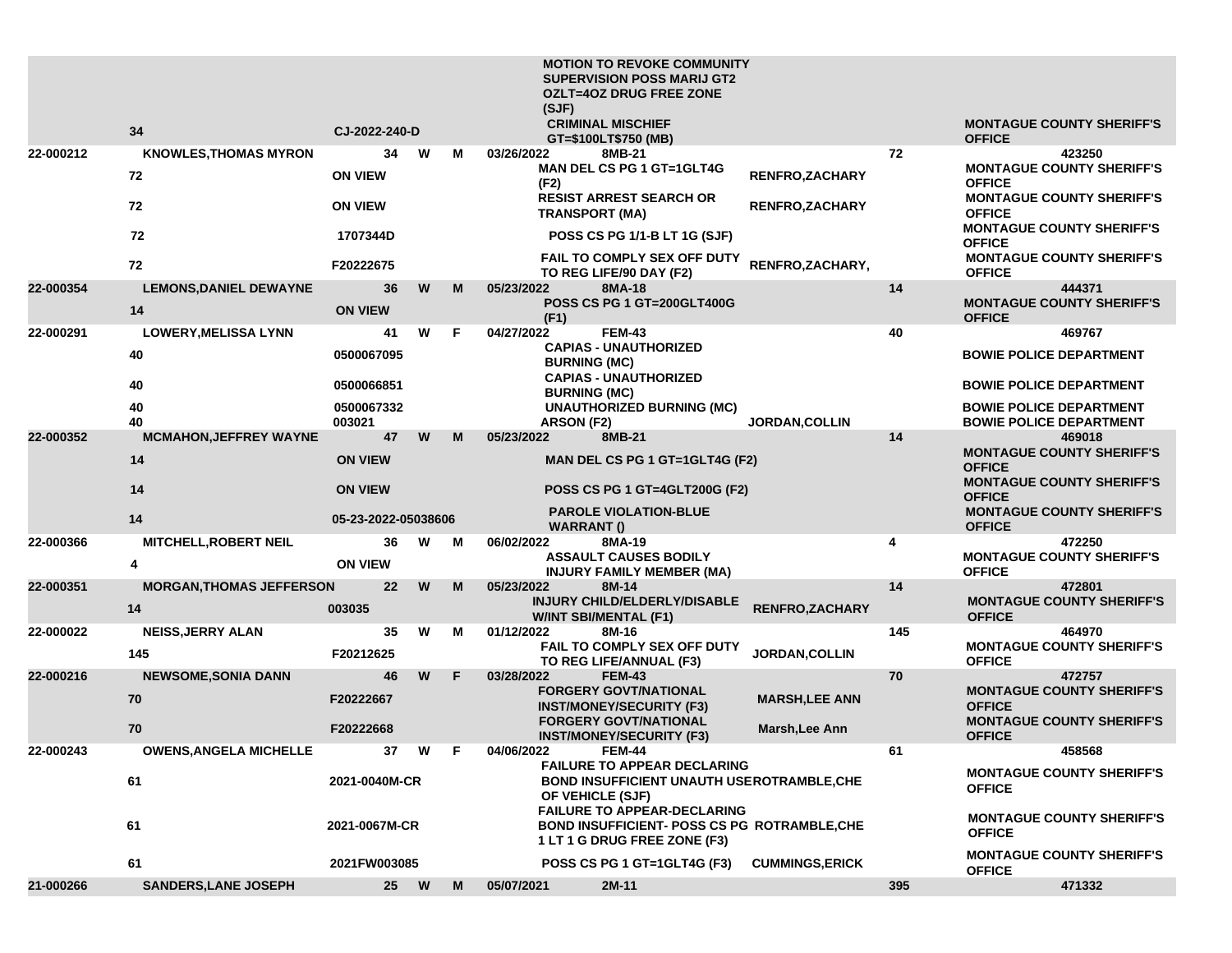|           |                                 |                      |         |   |   | <b>MOTION TO REVOKE COMMUNITY</b><br><b>SUPERVISION POSS MARIJ GT2</b><br><b>OZLT=4OZ DRUG FREE ZONE</b>           |                       |     |                                                                                       |
|-----------|---------------------------------|----------------------|---------|---|---|--------------------------------------------------------------------------------------------------------------------|-----------------------|-----|---------------------------------------------------------------------------------------|
|           |                                 |                      |         |   |   | (SJF)                                                                                                              |                       |     |                                                                                       |
|           | 34                              | CJ-2022-240-D        |         |   |   | <b>CRIMINAL MISCHIEF</b><br>GT=\$100LT\$750 (MB)                                                                   |                       |     | <b>MONTAGUE COUNTY SHERIFF'S</b><br><b>OFFICE</b>                                     |
| 22-000212 | <b>KNOWLES, THOMAS MYRON</b>    |                      | 34<br>W |   | м | 03/26/2022<br>8MB-21                                                                                               |                       | 72  | 423250                                                                                |
|           | 72                              | <b>ON VIEW</b>       |         |   |   | <b>MAN DEL CS PG 1 GT=1GLT4G</b><br>(F2)                                                                           | <b>RENFRO,ZACHARY</b> |     | <b>MONTAGUE COUNTY SHERIFF'S</b><br><b>OFFICE</b>                                     |
|           | 72                              | <b>ON VIEW</b>       |         |   |   | <b>RESIST ARREST SEARCH OR</b><br><b>TRANSPORT (MA)</b>                                                            | <b>RENFRO,ZACHARY</b> |     | <b>MONTAGUE COUNTY SHERIFF'S</b><br><b>OFFICE</b><br><b>MONTAGUE COUNTY SHERIFF'S</b> |
|           | 72                              | 1707344D             |         |   |   | POSS CS PG 1/1-B LT 1G (SJF)                                                                                       |                       |     | <b>OFFICE</b>                                                                         |
|           | 72                              | F20222675            |         |   |   | FAIL TO COMPLY SEX OFF DUTY<br>TO REG LIFE/90 DAY (F2)                                                             | RENFRO, ZACHARY,      |     | <b>MONTAGUE COUNTY SHERIFF'S</b><br><b>OFFICE</b>                                     |
| 22-000354 | <b>LEMONS, DANIEL DEWAYNE</b>   |                      | W<br>36 |   | М | 05/23/2022<br>8MA-18<br>POSS CS PG 1 GT=200GLT400G                                                                 |                       | 14  | 444371<br><b>MONTAGUE COUNTY SHERIFF'S</b>                                            |
|           | 14                              | <b>ON VIEW</b>       |         |   |   | (F1)                                                                                                               |                       |     | <b>OFFICE</b>                                                                         |
| 22-000291 | <b>LOWERY, MELISSA LYNN</b>     | 41                   | W       | F |   | 04/27/2022<br><b>FEM-43</b><br><b>CAPIAS - UNAUTHORIZED</b>                                                        |                       | 40  | 469767                                                                                |
|           | 40                              | 0500067095           |         |   |   | <b>BURNING (MC)</b>                                                                                                |                       |     | <b>BOWIE POLICE DEPARTMENT</b>                                                        |
|           | 40                              | 0500066851           |         |   |   | <b>CAPIAS - UNAUTHORIZED</b><br><b>BURNING (MC)</b>                                                                |                       |     | <b>BOWIE POLICE DEPARTMENT</b>                                                        |
|           | 40<br>40                        | 0500067332<br>003021 |         |   |   | <b>UNAUTHORIZED BURNING (MC)</b><br>ARSON (F2)                                                                     | <b>JORDAN, COLLIN</b> |     | <b>BOWIE POLICE DEPARTMENT</b><br><b>BOWIE POLICE DEPARTMENT</b>                      |
| 22-000352 | <b>MCMAHON, JEFFREY WAYNE</b>   | 47                   | W       |   | м | 05/23/2022<br>8MB-21                                                                                               |                       | 14  | 469018                                                                                |
|           | 14                              | <b>ON VIEW</b>       |         |   |   | <b>MAN DEL CS PG 1 GT=1GLT4G (F2)</b>                                                                              |                       |     | <b>MONTAGUE COUNTY SHERIFF'S</b><br><b>OFFICE</b>                                     |
|           | 14                              | <b>ON VIEW</b>       |         |   |   | POSS CS PG 1 GT=4GLT200G (F2)                                                                                      |                       |     | <b>MONTAGUE COUNTY SHERIFF'S</b><br><b>OFFICE</b>                                     |
|           | 14                              | 05-23-2022-05038606  |         |   |   | <b>PAROLE VIOLATION-BLUE</b><br><b>WARRANT()</b>                                                                   |                       |     | <b>MONTAGUE COUNTY SHERIFF'S</b><br><b>OFFICE</b>                                     |
| 22-000366 | <b>MITCHELL, ROBERT NEIL</b>    |                      | 36<br>W |   | М | 06/02/2022<br>8MA-19                                                                                               |                       | 4   | 472250                                                                                |
|           | 4                               | <b>ON VIEW</b>       |         |   |   | <b>ASSAULT CAUSES BODILY</b><br><b>INJURY FAMILY MEMBER (MA)</b>                                                   |                       |     | <b>MONTAGUE COUNTY SHERIFF'S</b><br><b>OFFICE</b>                                     |
| 22-000351 | <b>MORGAN, THOMAS JEFFERSON</b> |                      | 22<br>W |   | M | 05/23/2022<br>8M-14<br>INJURY CHILD/ELDERLY/DISABLE                                                                |                       | 14  | 472801<br><b>MONTAGUE COUNTY SHERIFF'S</b>                                            |
|           | 14                              | 003035               |         |   |   | <b>W/INT SBI/MENTAL (F1)</b>                                                                                       | RENFRO, ZACHARY       |     | <b>OFFICE</b>                                                                         |
| 22-000022 | <b>NEISS, JERRY ALAN</b>        |                      | 35<br>W |   | М | 01/12/2022<br>8M-16                                                                                                |                       | 145 | 464970                                                                                |
|           | 145                             | F20212625            |         |   |   | FAIL TO COMPLY SEX OFF DUTY<br>TO REG LIFE/ANNUAL (F3)                                                             | <b>JORDAN, COLLIN</b> |     | <b>MONTAGUE COUNTY SHERIFF'S</b><br><b>OFFICE</b>                                     |
| 22-000216 | <b>NEWSOME, SONIA DANN</b>      |                      | W<br>46 | F |   | 03/28/2022<br><b>FEM-43</b>                                                                                        |                       | 70  | 472757                                                                                |
|           | 70                              | F20222667            |         |   |   | <b>FORGERY GOVT/NATIONAL</b><br><b>INST/MONEY/SECURITY (F3)</b><br><b>FORGERY GOVT/NATIONAL</b>                    | <b>MARSH, LEE ANN</b> |     | <b>MONTAGUE COUNTY SHERIFF'S</b><br><b>OFFICE</b><br><b>MONTAGUE COUNTY SHERIFF'S</b> |
|           | 70                              | F20222668            |         |   |   | <b>INST/MONEY/SECURITY (F3)</b>                                                                                    | Marsh, Lee Ann        |     | <b>OFFICE</b>                                                                         |
| 22-000243 | <b>OWENS, ANGELA MICHELLE</b>   |                      | 37<br>W | F |   | 04/06/2022<br><b>FEM-44</b>                                                                                        |                       | 61  | 458568                                                                                |
|           | 61                              | 2021-0040M-CR        |         |   |   | <b>FAILURE TO APPEAR DECLARING</b><br><b>BOND INSUFFICIENT UNAUTH USEROTRAMBLE, CHE</b><br>OF VEHICLE (SJF)        |                       |     | <b>MONTAGUE COUNTY SHERIFF'S</b><br><b>OFFICE</b>                                     |
|           | 61                              | 2021-0067M-CR        |         |   |   | <b>FAILURE TO APPEAR-DECLARING</b><br>BOND INSUFFICIENT- POSS CS PG ROTRAMBLE, CHE<br>1 LT 1 G DRUG FREE ZONE (F3) |                       |     | <b>MONTAGUE COUNTY SHERIFF'S</b><br><b>OFFICE</b>                                     |
|           | 61                              | 2021FW003085         |         |   |   | POSS CS PG 1 GT=1GLT4G (F3)                                                                                        | <b>CUMMINGS,ERICK</b> |     | <b>MONTAGUE COUNTY SHERIFF'S</b><br><b>OFFICE</b>                                     |
| 21-000266 | <b>SANDERS, LANE JOSEPH</b>     |                      | 25 W    |   | M | $2M-11$<br>05/07/2021                                                                                              |                       | 395 | 471332                                                                                |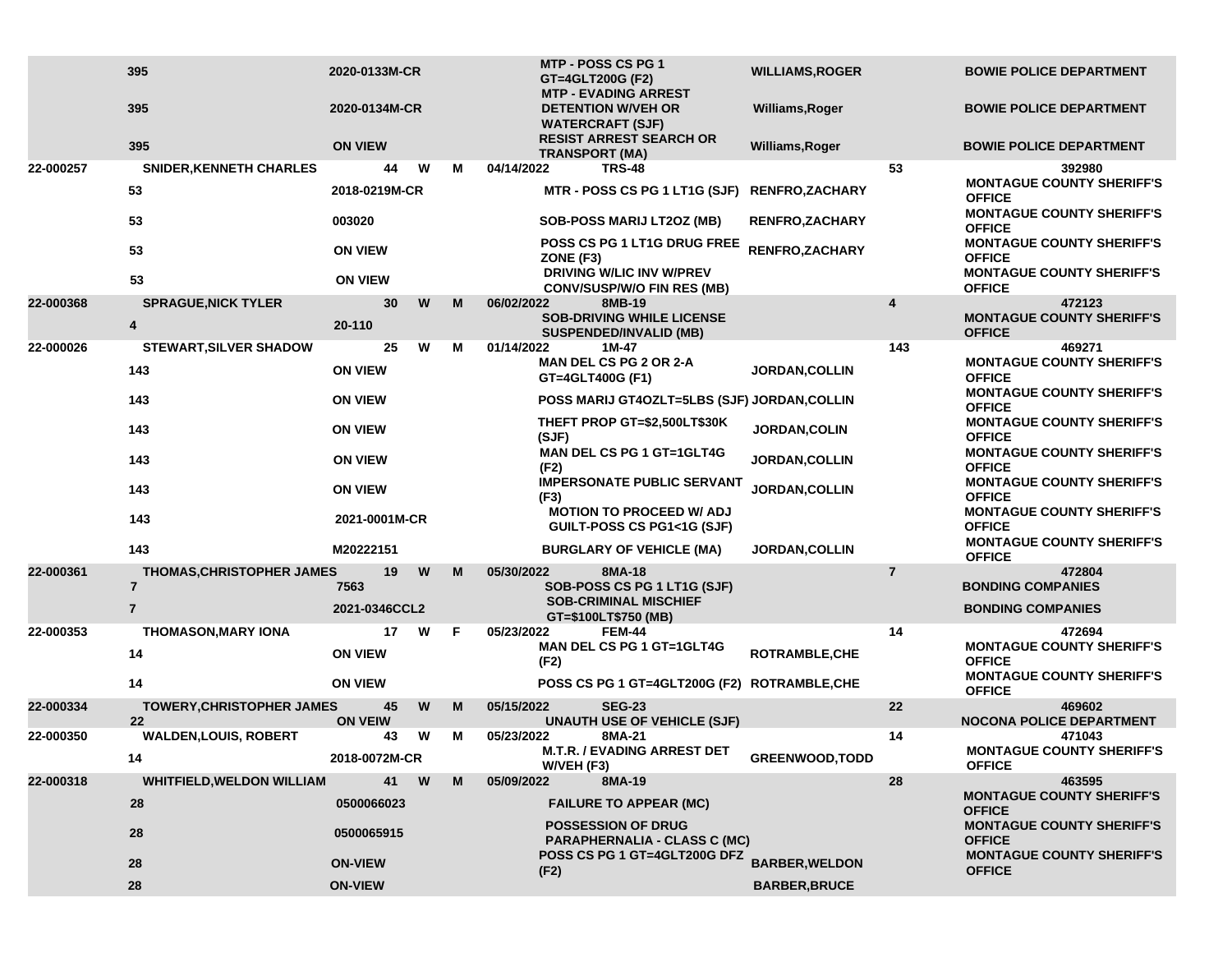|           | 395<br>395                                         | 2020-0133M-CR<br>2020-0134M-CR |   |   |                                          | MTP - POSS CS PG 1<br>GT=4GLT200G (F2)<br><b>MTP - EVADING ARREST</b><br><b>DETENTION W/VEH OR</b><br><b>WATERCRAFT (SJF)</b> | <b>WILLIAMS, ROGER</b><br>Williams, Roger |                                                   | <b>BOWIE POLICE DEPARTMENT</b><br><b>BOWIE POLICE DEPARTMENT</b>                      |
|-----------|----------------------------------------------------|--------------------------------|---|---|------------------------------------------|-------------------------------------------------------------------------------------------------------------------------------|-------------------------------------------|---------------------------------------------------|---------------------------------------------------------------------------------------|
|           | 395                                                | <b>ON VIEW</b>                 |   |   |                                          | <b>RESIST ARREST SEARCH OR</b><br><b>TRANSPORT (MA)</b>                                                                       | Williams, Roger                           |                                                   | <b>BOWIE POLICE DEPARTMENT</b>                                                        |
| 22-000257 | <b>SNIDER, KENNETH CHARLES</b>                     | 44                             | W | м | 04/14/2022                               | <b>TRS-48</b>                                                                                                                 |                                           | 53                                                | 392980                                                                                |
|           | 53                                                 | 2018-0219M-CR                  |   |   |                                          | MTR - POSS CS PG 1 LT1G (SJF)                                                                                                 | <b>RENFRO,ZACHARY</b>                     |                                                   | <b>MONTAGUE COUNTY SHERIFF'S</b><br><b>OFFICE</b>                                     |
|           | 53                                                 | 003020                         |   |   |                                          | <b>SOB-POSS MARIJ LT2OZ (MB)</b>                                                                                              | <b>RENFRO, ZACHARY</b>                    |                                                   | <b>MONTAGUE COUNTY SHERIFF'S</b><br><b>OFFICE</b>                                     |
|           | 53                                                 | <b>ON VIEW</b>                 |   |   | ZONE (F3)                                | POSS CS PG 1 LT1G DRUG FREE                                                                                                   | <b>RENFRO,ZACHARY</b>                     |                                                   | <b>MONTAGUE COUNTY SHERIFF'S</b><br><b>OFFICE</b>                                     |
|           | 53                                                 | <b>ON VIEW</b>                 |   |   |                                          | <b>DRIVING W/LIC INV W/PREV</b><br><b>CONV/SUSP/W/O FIN RES (MB)</b>                                                          |                                           |                                                   | <b>MONTAGUE COUNTY SHERIFF'S</b><br><b>OFFICE</b>                                     |
| 22-000368 | <b>SPRAGUE, NICK TYLER</b>                         | 30                             | W | M | 06/02/2022                               | 8MB-19<br><b>SOB-DRIVING WHILE LICENSE</b>                                                                                    |                                           | 4                                                 | 472123<br><b>MONTAGUE COUNTY SHERIFF'S</b>                                            |
|           | 4                                                  | 20-110                         |   |   |                                          | <b>SUSPENDED/INVALID (MB)</b>                                                                                                 |                                           |                                                   | <b>OFFICE</b>                                                                         |
| 22-000026 | <b>STEWART, SILVER SHADOW</b>                      | 25                             | W | M | 01/14/2022                               | 1M-47<br>MAN DEL CS PG 2 OR 2-A                                                                                               |                                           | 143                                               | 469271<br><b>MONTAGUE COUNTY SHERIFF'S</b>                                            |
|           | 143                                                | <b>ON VIEW</b>                 |   |   |                                          | GT=4GLT400G (F1)                                                                                                              | <b>JORDAN,COLLIN</b>                      |                                                   | <b>OFFICE</b>                                                                         |
|           | 143                                                | <b>ON VIEW</b>                 |   |   |                                          | POSS MARIJ GT4OZLT=5LBS (SJF) JORDAN, COLLIN                                                                                  |                                           |                                                   | <b>MONTAGUE COUNTY SHERIFF'S</b><br><b>OFFICE</b>                                     |
|           | 143                                                | <b>ON VIEW</b>                 |   |   | (SJF)                                    | THEFT PROP GT=\$2,500LT\$30K                                                                                                  | JORDAN, COLIN                             |                                                   | <b>MONTAGUE COUNTY SHERIFF'S</b><br><b>OFFICE</b>                                     |
|           | 143                                                | <b>ON VIEW</b>                 |   |   | <b>MAN DEL CS PG 1 GT=1GLT4G</b><br>(F2) | <b>JORDAN, COLLIN</b>                                                                                                         |                                           | <b>MONTAGUE COUNTY SHERIFF'S</b><br><b>OFFICE</b> |                                                                                       |
|           | 143                                                | <b>ON VIEW</b>                 |   |   | (F3)                                     | <b>IMPERSONATE PUBLIC SERVANT</b>                                                                                             | <b>JORDAN, COLLIN</b>                     |                                                   | <b>MONTAGUE COUNTY SHERIFF'S</b><br><b>OFFICE</b>                                     |
|           | 143                                                | 2021-0001M-CR                  |   |   |                                          | <b>MOTION TO PROCEED W/ ADJ</b><br>GUILT-POSS CS PG1<1G (SJF)                                                                 |                                           |                                                   | <b>MONTAGUE COUNTY SHERIFF'S</b><br><b>OFFICE</b><br><b>MONTAGUE COUNTY SHERIFF'S</b> |
|           | 143                                                | M20222151                      |   |   |                                          | <b>BURGLARY OF VEHICLE (MA)</b>                                                                                               | <b>JORDAN, COLLIN</b>                     |                                                   | <b>OFFICE</b>                                                                         |
| 22-000361 | <b>THOMAS, CHRISTOPHER JAMES</b><br>$\overline{7}$ | 19<br>7563                     | W | M | 05/30/2022                               | 8MA-18<br>SOB-POSS CS PG 1 LT1G (SJF)                                                                                         |                                           | $\overline{7}$                                    | 472804<br><b>BONDING COMPANIES</b>                                                    |
|           | $\overline{7}$                                     | 2021-0346CCL2                  |   |   | <b>SOB-CRIMINAL MISCHIEF</b>             |                                                                                                                               |                                           | <b>BONDING COMPANIES</b>                          |                                                                                       |
| 22-000353 | <b>THOMASON, MARY IONA</b>                         | 17                             | W | F | 05/23/2022                               | GT=\$100LT\$750 (MB)<br><b>FEM-44</b>                                                                                         |                                           | 14                                                | 472694                                                                                |
|           | 14                                                 | <b>ON VIEW</b>                 |   |   | (F2)                                     | <b>MAN DEL CS PG 1 GT=1GLT4G</b>                                                                                              | ROTRAMBLE, CHE                            |                                                   | <b>MONTAGUE COUNTY SHERIFF'S</b><br><b>OFFICE</b>                                     |
|           | 14                                                 | <b>ON VIEW</b>                 |   |   |                                          | POSS CS PG 1 GT=4GLT200G (F2) ROTRAMBLE, CHE                                                                                  |                                           |                                                   | <b>MONTAGUE COUNTY SHERIFF'S</b><br><b>OFFICE</b>                                     |
| 22-000334 | <b>TOWERY, CHRISTOPHER JAMES</b><br>22             | 45<br><b>ON VEIW</b>           | W | M | 05/15/2022                               | <b>SEG-23</b><br><b>UNAUTH USE OF VEHICLE (SJF)</b>                                                                           |                                           | 22                                                | 469602<br><b>NOCONA POLICE DEPARTMENT</b>                                             |
| 22-000350 | <b>WALDEN,LOUIS, ROBERT</b>                        | 43                             | W | M | 05/23/2022                               | 8MA-21                                                                                                                        |                                           | 14                                                | 471043                                                                                |
|           | 14                                                 | 2018-0072M-CR                  |   |   | W/VEH (F3)                               | <b>M.T.R. / EVADING ARREST DET</b>                                                                                            | GREENWOOD, TODD                           |                                                   | <b>MONTAGUE COUNTY SHERIFF'S</b><br><b>OFFICE</b>                                     |
| 22-000318 | <b>WHITFIELD, WELDON WILLIAM</b>                   | 41                             | W | M | 05/09/2022                               | 8MA-19                                                                                                                        |                                           | 28                                                | 463595                                                                                |
|           | 28                                                 | 0500066023                     |   |   |                                          | <b>FAILURE TO APPEAR (MC)</b>                                                                                                 |                                           |                                                   | <b>MONTAGUE COUNTY SHERIFF'S</b><br><b>OFFICE</b>                                     |
|           | 28                                                 | 0500065915                     |   |   |                                          | <b>POSSESSION OF DRUG</b><br><b>PARAPHERNALIA - CLASS C (MC)</b><br>POSS CS PG 1 GT=4GLT200G DFZ                              |                                           |                                                   | <b>MONTAGUE COUNTY SHERIFF'S</b><br><b>OFFICE</b><br><b>MONTAGUE COUNTY SHERIFF'S</b> |
|           | 28                                                 | <b>ON-VIEW</b>                 |   |   | (F2)                                     |                                                                                                                               | <b>BARBER, WELDON</b>                     |                                                   | <b>OFFICE</b>                                                                         |
|           | 28                                                 | <b>ON-VIEW</b>                 |   |   |                                          |                                                                                                                               | <b>BARBER, BRUCE</b>                      |                                                   |                                                                                       |